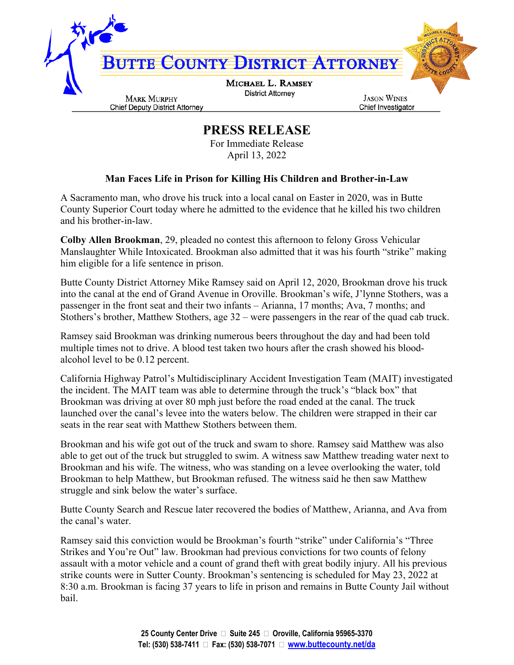

## **PRESS RELEASE**

For Immediate Release April 13, 2022

## **Man Faces Life in Prison for Killing His Children and Brother-in-Law**

A Sacramento man, who drove his truck into a local canal on Easter in 2020, was in Butte County Superior Court today where he admitted to the evidence that he killed his two children and his brother-in-law.

**Colby Allen Brookman**, 29, pleaded no contest this afternoon to felony Gross Vehicular Manslaughter While Intoxicated. Brookman also admitted that it was his fourth "strike" making him eligible for a life sentence in prison.

Butte County District Attorney Mike Ramsey said on April 12, 2020, Brookman drove his truck into the canal at the end of Grand Avenue in Oroville. Brookman's wife, J'lynne Stothers, was a passenger in the front seat and their two infants – Arianna, 17 months; Ava, 7 months; and Stothers's brother, Matthew Stothers, age 32 – were passengers in the rear of the quad cab truck.

Ramsey said Brookman was drinking numerous beers throughout the day and had been told multiple times not to drive. A blood test taken two hours after the crash showed his bloodalcohol level to be 0.12 percent.

California Highway Patrol's Multidisciplinary Accident Investigation Team (MAIT) investigated the incident. The MAIT team was able to determine through the truck's "black box" that Brookman was driving at over 80 mph just before the road ended at the canal. The truck launched over the canal's levee into the waters below. The children were strapped in their car seats in the rear seat with Matthew Stothers between them.

Brookman and his wife got out of the truck and swam to shore. Ramsey said Matthew was also able to get out of the truck but struggled to swim. A witness saw Matthew treading water next to Brookman and his wife. The witness, who was standing on a levee overlooking the water, told Brookman to help Matthew, but Brookman refused. The witness said he then saw Matthew struggle and sink below the water's surface.

Butte County Search and Rescue later recovered the bodies of Matthew, Arianna, and Ava from the canal's water.

Ramsey said this conviction would be Brookman's fourth "strike" under California's "Three Strikes and You're Out" law. Brookman had previous convictions for two counts of felony assault with a motor vehicle and a count of grand theft with great bodily injury. All his previous strike counts were in Sutter County. Brookman's sentencing is scheduled for May 23, 2022 at 8:30 a.m. Brookman is facing 37 years to life in prison and remains in Butte County Jail without bail.